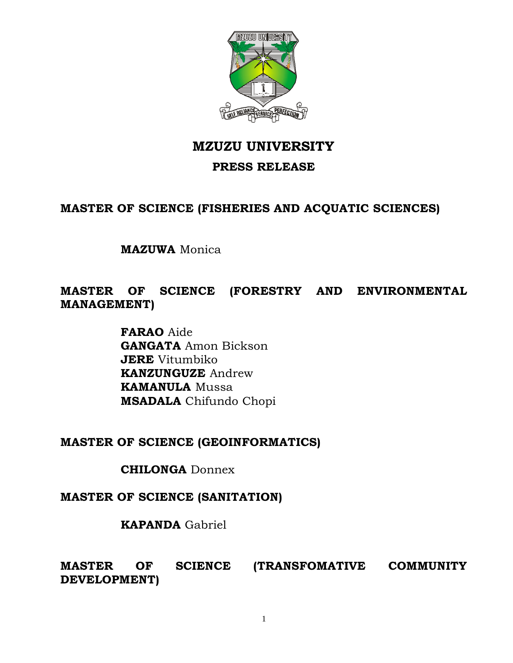

**MZUZU UNIVERSITY** 

## PRESS RELEASE

## MASTER OF SCIENCE (FISHERIES AND ACQUATIC SCIENCES)

**MAZUWA** Monica

MASTER OF SCIENCE (FORESTRY AND ENVIRONMENTAL **MANAGEMENT)** 

> **FARAO** Aide **GANGATA** Amon Bickson **JERE** Vitumbiko **KANZUNGUZE Andrew KAMANULA** Mussa **MSADALA** Chifundo Chopi

## **MASTER OF SCIENCE (GEOINFORMATICS)**

**CHILONGA** Donnex

**MASTER OF SCIENCE (SANITATION)** 

**KAPANDA** Gabriel

**MASTER OF SCIENCE** (TRANSFOMATIVE COMMUNITY DEVELOPMENT)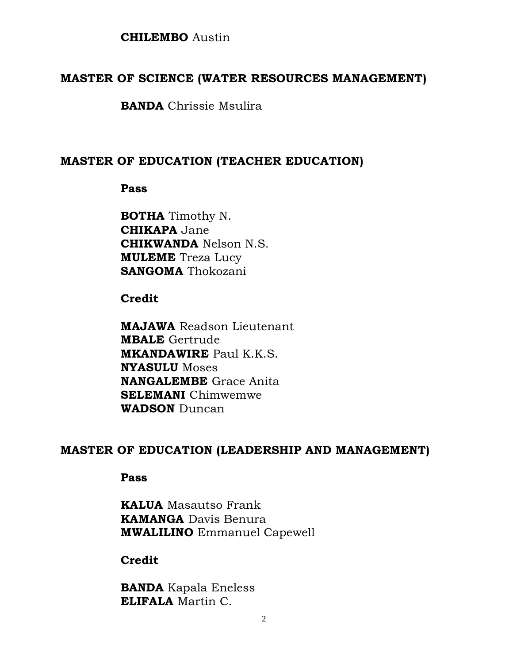### **CHILEMBO** Austin

### **MASTER OF SCIENCE (WATER RESOURCES MANAGEMENT)**

**BANDA** Chrissie Msulira

### **MASTER OF EDUCATION (TEACHER EDUCATION)**

**Pass**

**BOTHA** Timothy N. **CHIKAPA** Jane **CHIKWANDA** Nelson N.S. **MULEME** Treza Lucy **SANGOMA** Thokozani

**Credit**

**MAJAWA** Readson Lieutenant **MBALE** Gertrude **MKANDAWIRE** Paul K.K.S. **NYASULU** Moses **NANGALEMBE** Grace Anita **SELEMANI** Chimwemwe **WADSON** Duncan

### **MASTER OF EDUCATION (LEADERSHIP AND MANAGEMENT)**

**Pass**

**KALUA** Masautso Frank **KAMANGA** Davis Benura **MWALILINO** Emmanuel Capewell

**Credit**

**BANDA** Kapala Eneless **ELIFALA** Martin C.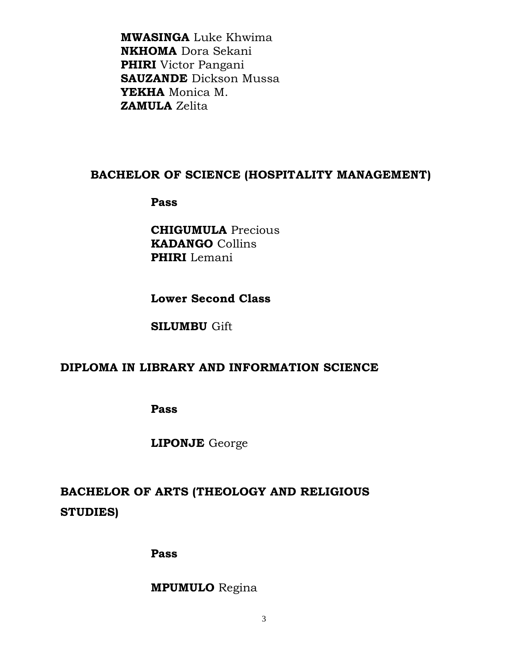**MWASINGA** Luke Khwima **NKHOMA** Dora Sekani **PHIRI** Victor Pangani **SAUZANDE** Dickson Mussa **YEKHA** Monica M. **ZAMULA** Zelita

### **BACHELOR OF SCIENCE (HOSPITALITY MANAGEMENT)**

**Pass**

**CHIGUMULA** Precious **KADANGO** Collins **PHIRI** Lemani

**Lower Second Class**

**SILUMBU** Gift

## **DIPLOMA IN LIBRARY AND INFORMATION SCIENCE**

**Pass**

**LIPONJE** George

**BACHELOR OF ARTS (THEOLOGY AND RELIGIOUS STUDIES)**

**Pass**

**MPUMULO** Regina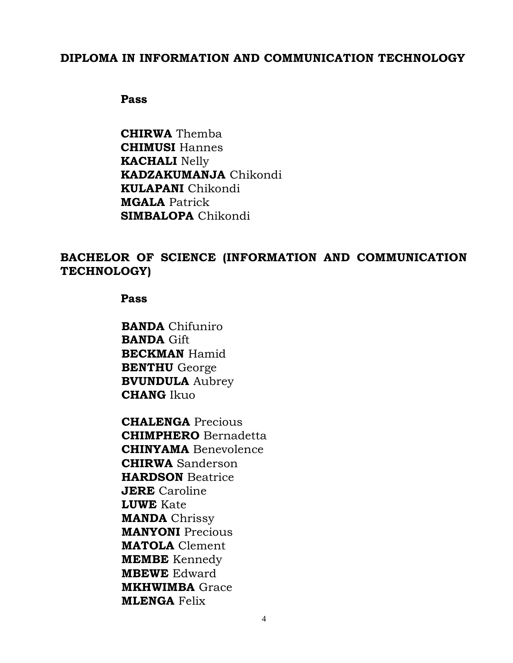### **DIPLOMA IN INFORMATION AND COMMUNICATION TECHNOLOGY**

**Pass** 

**CHIRWA** Themba **CHIMUSI** Hannes **KACHALI** Nelly **KADZAKUMANJA** Chikondi **KULAPANI** Chikondi **MGALA** Patrick **SIMBALOPA** Chikondi

## **BACHELOR OF SCIENCE (INFORMATION AND COMMUNICATION TECHNOLOGY)**

**Pass**

**BANDA** Chifuniro **BANDA** Gift **BECKMAN** Hamid **BENTHU** George **BVUNDULA** Aubrey **CHANG** Ikuo

**CHALENGA** Precious **CHIMPHERO** Bernadetta **CHINYAMA** Benevolence **CHIRWA** Sanderson **HARDSON** Beatrice **JERE** Caroline **LUWE** Kate **MANDA** Chrissy **MANYONI** Precious **MATOLA** Clement **MEMBE** Kennedy **MBEWE** Edward **MKHWIMBA** Grace **MLENGA** Felix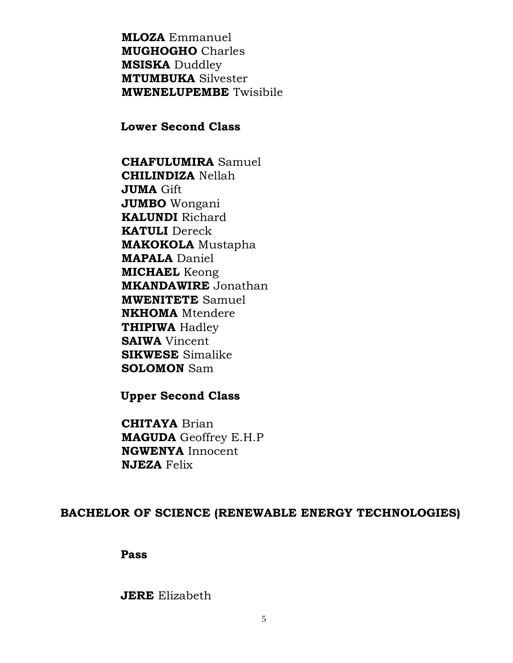**MLOZA** Emmanuel **MUGHOGHO** Charles **MSISKA** Duddley **MTUMBUKA** Silvester **MWENELUPEMBE** Twisibile

**Lower Second Class**

**CHAFULUMIRA** Samuel **CHILINDIZA** Nellah **JUMA** Gift **JUMBO** Wongani **KALUNDI** Richard **KATULI** Dereck **MAKOKOLA** Mustapha **MAPALA** Daniel **MICHAEL** Keong **MKANDAWIRE** Jonathan **MWENITETE** Samuel **NKHOMA** Mtendere **THIPIWA** Hadley **SAIWA** Vincent **SIKWESE** Simalike **SOLOMON** Sam

**Upper Second Class**

**CHITAYA** Brian **MAGUDA** Geoffrey E.H.P **NGWENYA** Innocent **NJEZA** Felix

### **BACHELOR OF SCIENCE (RENEWABLE ENERGY TECHNOLOGIES)**

**Pass**

**JERE** Elizabeth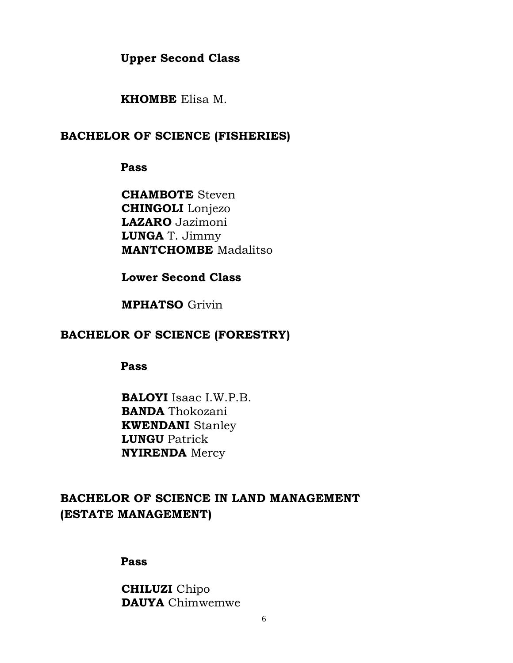**Upper Second Class**

**KHOMBE** Elisa M.

## **BACHELOR OF SCIENCE (FISHERIES)**

**Pass**

**CHAMBOTE** Steven **CHINGOLI** Lonjezo **LAZARO** Jazimoni **LUNGA** T. Jimmy **MANTCHOMBE** Madalitso

**Lower Second Class**

**MPHATSO** Grivin

## **BACHELOR OF SCIENCE (FORESTRY)**

**Pass**

**BALOYI** Isaac I.W.P.B. **BANDA** Thokozani **KWENDANI** Stanley **LUNGU** Patrick **NYIRENDA** Mercy

# **BACHELOR OF SCIENCE IN LAND MANAGEMENT (ESTATE MANAGEMENT)**

**Pass**

**CHILUZI** Chipo **DAUYA** Chimwemwe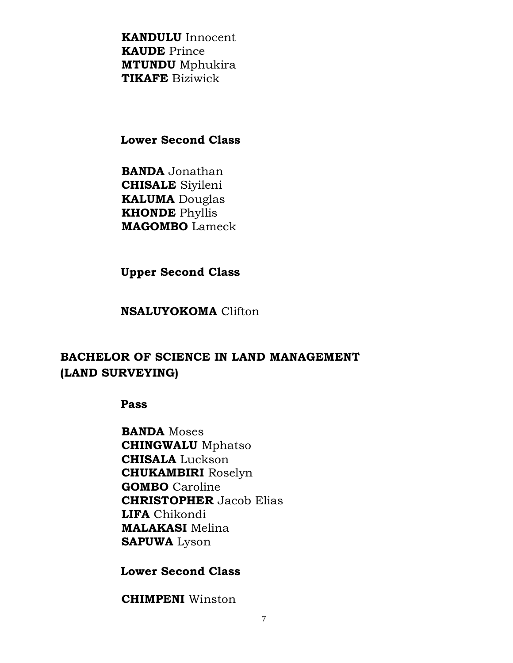**KANDULU** Innocent **KAUDE** Prince **MTUNDU** Mphukira **TIKAFE** Biziwick

### **Lower Second Class**

**BANDA** Jonathan **CHISALE** Siyileni **KALUMA** Douglas **KHONDE** Phyllis **MAGOMBO** Lameck

**Upper Second Class**

### **NSALUYOKOMA** Clifton

## **BACHELOR OF SCIENCE IN LAND MANAGEMENT (LAND SURVEYING)**

**Pass**

**BANDA** Moses **CHINGWALU** Mphatso **CHISALA** Luckson **CHUKAMBIRI** Roselyn **GOMBO** Caroline **CHRISTOPHER** Jacob Elias **LIFA** Chikondi **MALAKASI** Melina **SAPUWA** Lyson

**Lower Second Class**

**CHIMPENI** Winston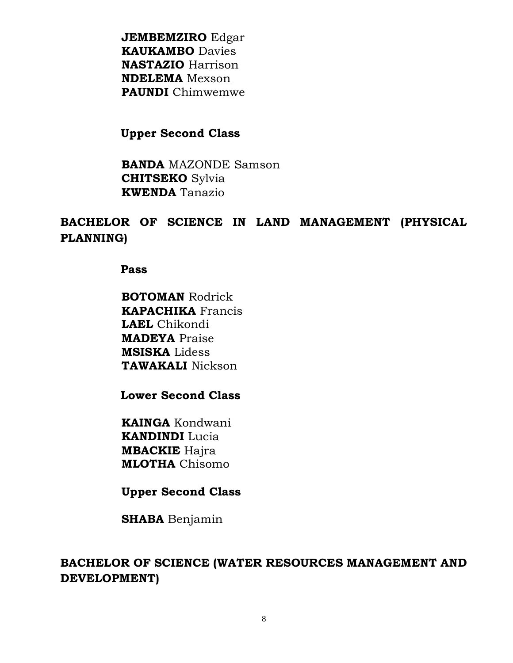**JEMBEMZIRO** Edgar **KAUKAMBO** Davies **NASTAZIO Harrison NDELEMA** Mexson **PAUNDI** Chimwemwe

**Upper Second Class** 

**BANDA MAZONDE Samson CHITSEKO** Sylvia **KWENDA** Tanazio

## BACHELOR OF SCIENCE IN LAND MANAGEMENT (PHYSICAL **PLANNING)**

**Pass** 

**BOTOMAN Rodrick KAPACHIKA** Francis LAEL Chikondi **MADEYA** Praise **MSISKA** Lidess **TAWAKALI Nickson** 

**Lower Second Class** 

**KAINGA Kondwani KANDINDI** Lucia **MBACKIE** Hajra **MLOTHA** Chisomo

**Upper Second Class** 

**SHABA** Benjamin

## BACHELOR OF SCIENCE (WATER RESOURCES MANAGEMENT AND DEVELOPMENT)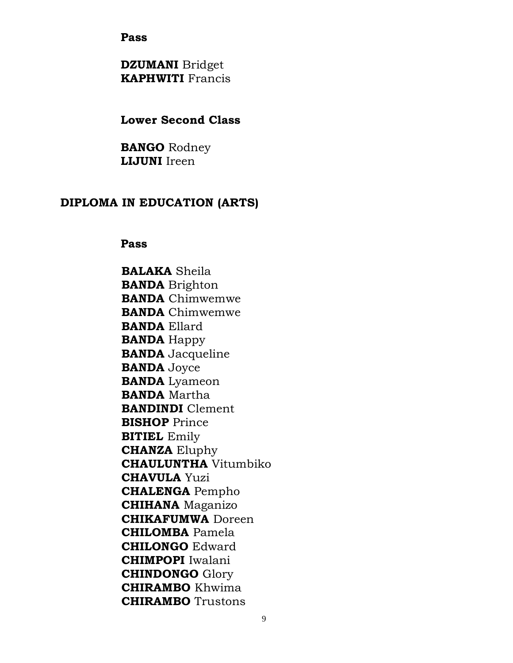**Pass**

**DZUMANI** Bridget **KAPHWITI** Francis

### **Lower Second Class**

**BANGO** Rodney **LIJUNI** Ireen

### **DIPLOMA IN EDUCATION (ARTS)**

**Pass** 

**BALAKA** Sheila **BANDA** Brighton **BANDA** Chimwemwe **BANDA** Chimwemwe **BANDA** Ellard **BANDA** Happy **BANDA** Jacqueline **BANDA** Joyce **BANDA** Lyameon **BANDA** Martha **BANDINDI** Clement **BISHOP** Prince **BITIEL** Emily **CHANZA** Eluphy **CHAULUNTHA** Vitumbiko **CHAVULA** Yuzi **CHALENGA** Pempho **CHIHANA** Maganizo **CHIKAFUMWA** Doreen **CHILOMBA** Pamela **CHILONGO** Edward **CHIMPOPI** Iwalani **CHINDONGO** Glory **CHIRAMBO** Khwima **CHIRAMBO** Trustons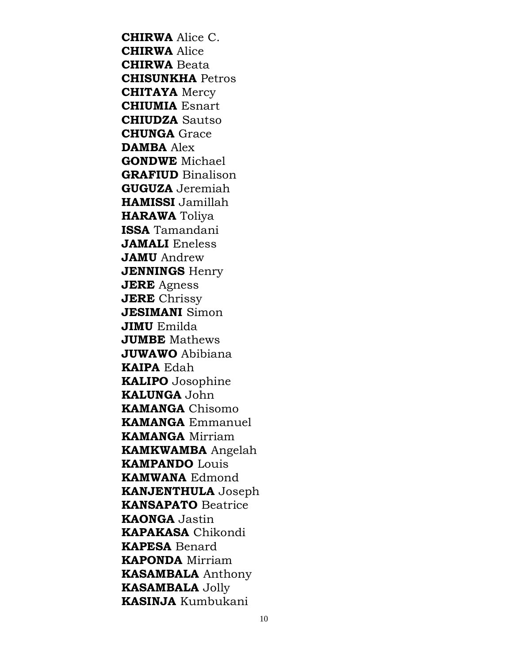**CHIRWA** Alice C. **CHIRWA** Alice **CHIRWA** Beata **CHISUNKHA** Petros **CHITAYA** Mercy **CHIUMIA** Esnart **CHIUDZA** Sautso **CHUNGA** Grace **DAMBA** Alex **GONDWE** Michael **GRAFIUD** Binalison **GUGUZA** Jeremiah **HAMISSI** Jamillah **HARAWA** Toliya **ISSA** Tamandani **JAMALI** Eneless **JAMU** Andrew **JENNINGS** Henry **JERE** Agness **JERE** Chrissy **JESIMANI** Simon **JIMU** Emilda **JUMBE** Mathews **JUWAWO** Abibiana **KAIPA** Edah **KALIPO** Josophine **KALUNGA** John **KAMANGA** Chisomo **KAMANGA** Emmanuel **KAMANGA** Mirriam **KAMKWAMBA** Angelah **KAMPANDO** Louis **KAMWANA** Edmond **KANJENTHULA** Joseph **KANSAPATO** Beatrice **KAONGA** Jastin **KAPAKASA** Chikondi **KAPESA** Benard **KAPONDA** Mirriam **KASAMBALA** Anthony **KASAMBALA** Jolly **KASINJA** Kumbukani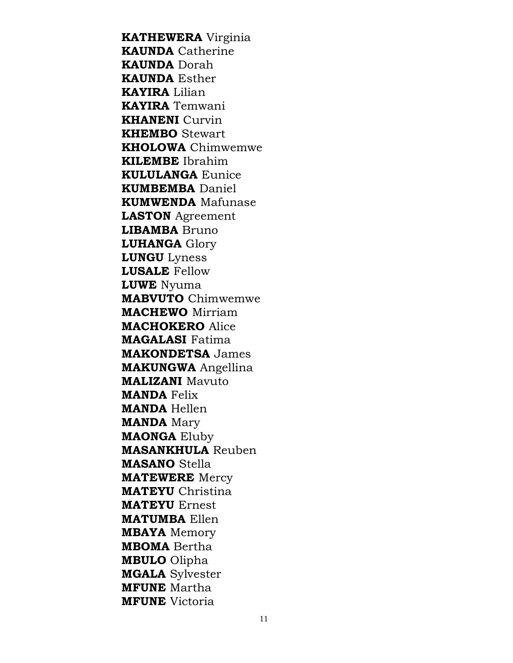**KATHEWERA** Virginia **KAUNDA** Catherine **KAUNDA** Dorah **KAUNDA** Esther **KAYIRA** Lilian **KAYIRA** Temwani **KHANENI** Curvin **KHEMBO** Stewart **KHOLOWA** Chimwemwe **KILEMBE** Ibrahim **KULULANGA** Eunice **KUMBEMBA** Daniel **KUMWENDA** Mafunase **LASTON** Agreement **LIBAMBA** Bruno **LUHANGA** Glory **LUNGU** Lyness **LUSALE** Fellow **LUWE** Nyuma **MABVUTO** Chimwemwe **MACHEWO** Mirriam **MACHOKERO** Alice **MAGALASI** Fatima **MAKONDETSA** James **MAKUNGWA** Angellina **MALIZANI** Mavuto **MANDA** Felix **MANDA** Hellen **MANDA** Mary **MAONGA** Eluby **MASANKHULA** Reuben **MASANO** Stella **MATEWERE** Mercy **MATEYU** Christina **MATEYU** Ernest **MATUMBA** Ellen **MBAYA** Memory **MBOMA** Bertha **MBULO** Olipha **MGALA** Sylvester **MFUNE** Martha **MFUNE** Victoria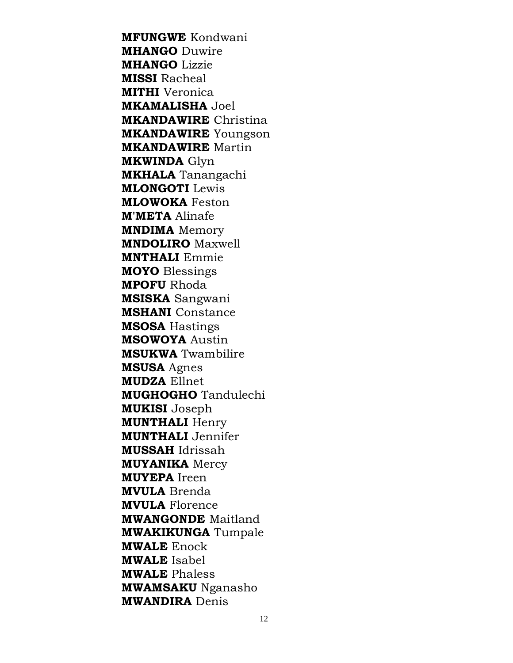**MFUNGWE** Kondwani **MHANGO** Duwire **MHANGO** Lizzie **MISSI** Racheal **MITHI** Veronica **MKAMALISHA** Joel **MKANDAWIRE** Christina **MKANDAWIRE** Youngson **MKANDAWIRE** Martin **MKWINDA** Glyn **MKHALA** Tanangachi **MLONGOTI** Lewis **MLOWOKA** Feston **M'META** Alinafe **MNDIMA** Memory **MNDOLIRO** Maxwell **MNTHALI** Emmie **MOYO** Blessings **MPOFU** Rhoda **MSISKA** Sangwani **MSHANI** Constance **MSOSA** Hastings **MSOWOYA** Austin **MSUKWA** Twambilire **MSUSA** Agnes **MUDZA** Ellnet **MUGHOGHO** Tandulechi **MUKISI** Joseph **MUNTHALI** Henry **MUNTHALI** Jennifer **MUSSAH** Idrissah **MUYANIKA** Mercy **MUYEPA** Ireen **MVULA** Brenda **MVULA** Florence **MWANGONDE** Maitland **MWAKIKUNGA** Tumpale **MWALE** Enock **MWALE** Isabel **MWALE** Phaless **MWAMSAKU** Nganasho **MWANDIRA** Denis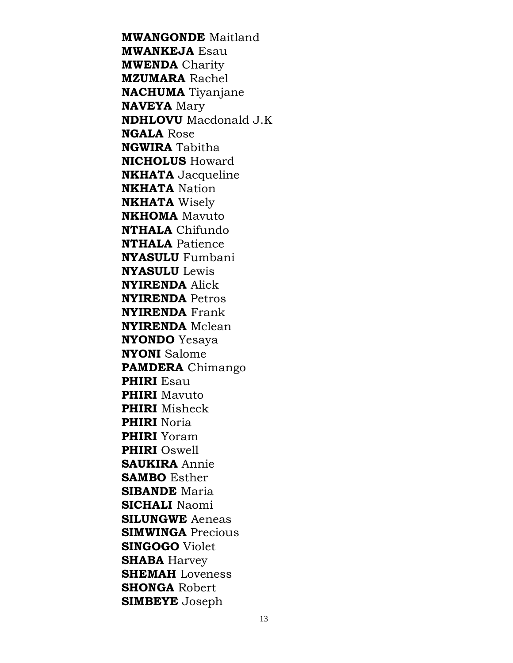**MWANGONDE** Maitland **MWANKEJA** Esau **MWENDA** Charity **MZUMARA** Rachel **NACHUMA** Tiyanjane **NAVEYA** Mary **NDHLOVU** Macdonald J.K **NGALA** Rose **NGWIRA** Tabitha **NICHOLUS** Howard **NKHATA** Jacqueline **NKHATA** Nation **NKHATA** Wisely **NKHOMA** Mavuto **NTHALA** Chifundo **NTHALA** Patience **NYASULU** Fumbani **NYASULU** Lewis **NYIRENDA** Alick **NYIRENDA** Petros **NYIRENDA** Frank **NYIRENDA** Mclean **NYONDO** Yesaya **NYONI** Salome **PAMDERA** Chimango **PHIRI** Esau **PHIRI** Mavuto **PHIRI** Misheck **PHIRI** Noria **PHIRI** Yoram **PHIRI** Oswell **SAUKIRA** Annie **SAMBO** Esther **SIBANDE** Maria **SICHALI** Naomi **SILUNGWE** Aeneas **SIMWINGA** Precious **SINGOGO** Violet **SHABA** Harvey **SHEMAH** Loveness **SHONGA** Robert **SIMBEYE** Joseph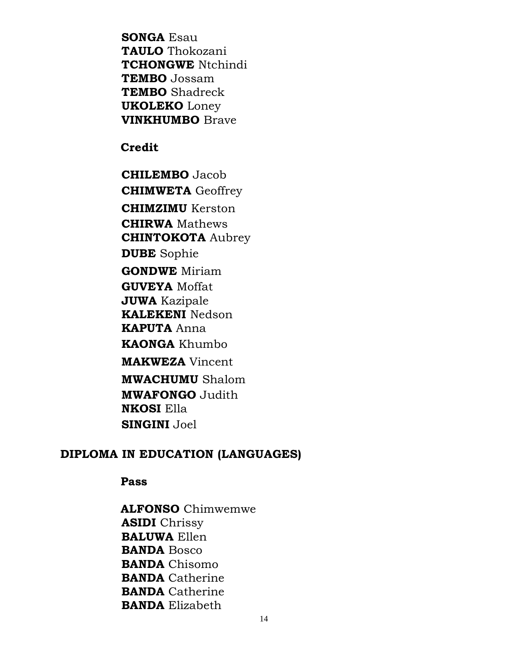**SONGA Esau TAULO** Thokozani **TCHONGWE** Ntchindi **TEMBO** Jossam **TEMBO** Shadreck **UKOLEKO** Loney **VINKHUMBO Brave** 

Credit

**CHILEMBO** Jacob **CHIMWETA** Geoffrey **CHIMZIMU** Kerston **CHIRWA** Mathews **CHINTOKOTA Aubrey DUBE** Sophie **GONDWE** Miriam **GUVEYA** Moffat **JUWA** Kazipale **KALEKENI** Nedson **KAPUTA Anna KAONGA Khumbo MAKWEZA** Vincent **MWACHUMU Shalom MWAFONGO Judith NKOSI Ella** SINGINI Joel

### DIPLOMA IN EDUCATION (LANGUAGES)

**Pass** 

**ALFONSO** Chimwemwe **ASIDI** Chrissy **BALUWA Ellen BANDA** Bosco **BANDA** Chisomo **BANDA** Catherine **BANDA** Catherine **BANDA** Elizabeth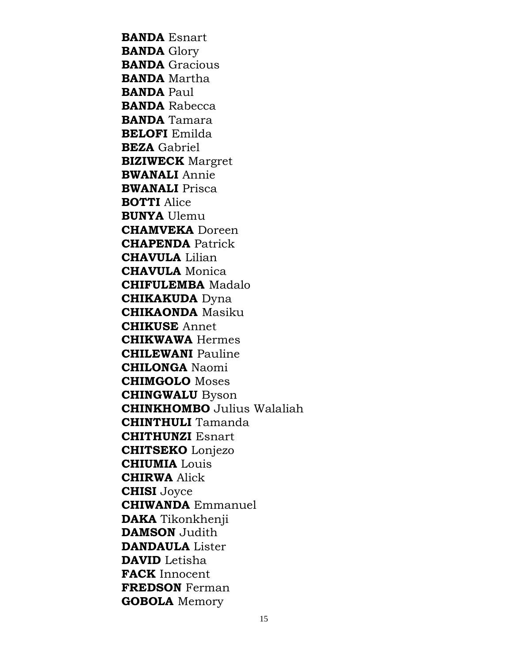**BANDA** Esnart **BANDA** Glory **BANDA** Gracious **BANDA** Martha **BANDA Paul BANDA** Rabecca **BANDA** Tamara **BELOFI** Emilda **BEZA** Gabriel **BIZIWECK Margret BWANALI** Annie **BWANALI** Prisca **BOTTI** Alice **BUNYA Ulemu CHAMVEKA** Doreen **CHAPENDA** Patrick **CHAVULA** Lilian **CHAVULA** Monica **CHIFULEMBA** Madalo **CHIKAKUDA** Dyna **CHIKAONDA** Masiku **CHIKUSE Annet CHIKWAWA Hermes CHILEWANI** Pauline **CHILONGA Naomi CHIMGOLO** Moses **CHINGWALU Byson CHINKHOMBO** Julius Walaliah **CHINTHULI** Tamanda **CHITHUNZI Esnart CHITSEKO** Lonjezo **CHIUMIA** Louis **CHIRWA** Alick **CHISI** Joyce **CHIWANDA Emmanuel** DAKA Tikonkhenji **DAMSON** Judith **DANDAULA** Lister **DAVID** Letisha **FACK** Innocent **FREDSON** Ferman **GOBOLA** Memory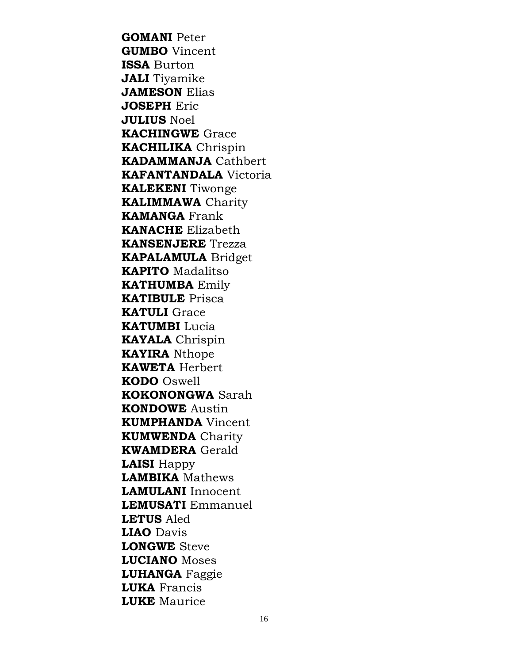**GOMANI** Peter **GUMBO** Vincent **ISSA** Burton **JALI** Tiyamike **JAMESON** Elias **JOSEPH** Eric **JULIUS** Noel **KACHINGWE** Grace **KACHILIKA** Chrispin **KADAMMANJA** Cathbert **KAFANTANDALA** Victoria **KALEKENI** Tiwonge **KALIMMAWA** Charity **KAMANGA** Frank **KANACHE** Elizabeth **KANSENJERE** Trezza **KAPALAMULA** Bridget **KAPITO** Madalitso **KATHUMBA** Emily **KATIBULE** Prisca **KATULI** Grace **KATUMBI** Lucia **KAYALA** Chrispin **KAYIRA** Nthope **KAWETA** Herbert **KODO** Oswell **KOKONONGWA** Sarah **KONDOWE** Austin **KUMPHANDA** Vincent **KUMWENDA** Charity **KWAMDERA** Gerald **LAISI** Happy **LAMBIKA** Mathews **LAMULANI** Innocent **LEMUSATI** Emmanuel **LETUS** Aled **LIAO** Davis **LONGWE** Steve **LUCIANO** Moses **LUHANGA** Faggie **LUKA** Francis **LUKE** Maurice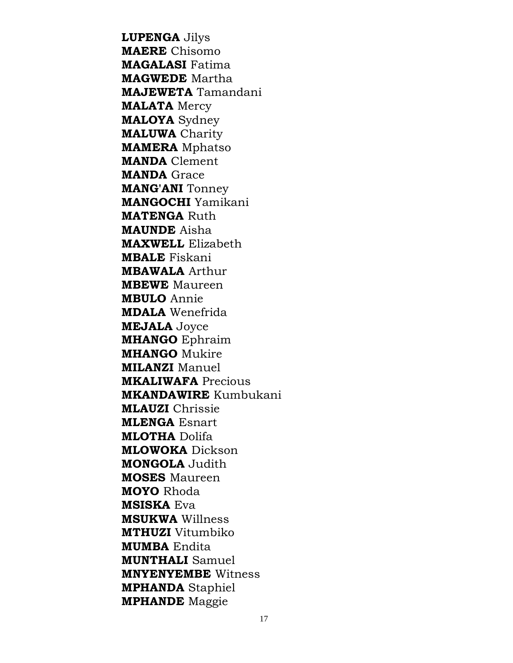**LUPENGA** Jilys **MAERE** Chisomo **MAGALASI** Fatima **MAGWEDE** Martha **MAJEWETA** Tamandani **MALATA** Mercy **MALOYA** Sydney **MALUWA** Charity **MAMERA** Mphatso **MANDA** Clement **MANDA** Grace **MANG'ANI** Tonney **MANGOCHI** Yamikani **MATENGA** Ruth **MAUNDE** Aisha **MAXWELL** Elizabeth **MBALE** Fiskani **MBAWALA** Arthur **MBEWE** Maureen **MBULO** Annie **MDALA** Wenefrida **MEJALA** Joyce **MHANGO** Ephraim **MHANGO** Mukire **MILANZI** Manuel **MKALIWAFA** Precious **MKANDAWIRE** Kumbukani **MLAUZI** Chrissie **MLENGA** Esnart **MLOTHA** Dolifa **MLOWOKA** Dickson **MONGOLA** Judith **MOSES** Maureen **MOYO** Rhoda **MSISKA** Eva **MSUKWA** Willness **MTHUZI** Vitumbiko **MUMBA** Endita **MUNTHALI** Samuel **MNYENYEMBE** Witness **MPHANDA** Staphiel **MPHANDE** Maggie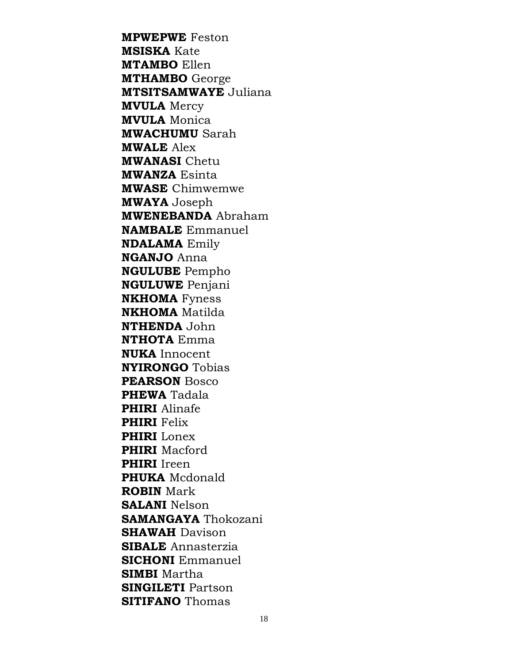**MPWEPWE** Feston **MSISKA** Kate **MTAMBO** Ellen **MTHAMBO** George **MTSITSAMWAYE** Juliana **MVULA** Mercy **MVULA** Monica **MWACHUMU** Sarah **MWALE** Alex **MWANASI** Chetu **MWANZA** Esinta **MWASE** Chimwemwe **MWAYA** Joseph **MWENEBANDA** Abraham **NAMBALE** Emmanuel **NDALAMA** Emily **NGANJO** Anna **NGULUBE** Pempho **NGULUWE** Penjani **NKHOMA** Fyness **NKHOMA** Matilda **NTHENDA** John **NTHOTA** Emma **NUKA** Innocent **NYIRONGO** Tobias **PEARSON** Bosco **PHEWA** Tadala **PHIRI** Alinafe **PHIRI** Felix **PHIRI** Lonex **PHIRI** Macford **PHIRI** Ireen **PHUKA** Mcdonald **ROBIN** Mark **SALANI** Nelson **SAMANGAYA** Thokozani **SHAWAH** Davison **SIBALE** Annasterzia **SICHONI** Emmanuel **SIMBI** Martha **SINGILETI** Partson **SITIFANO** Thomas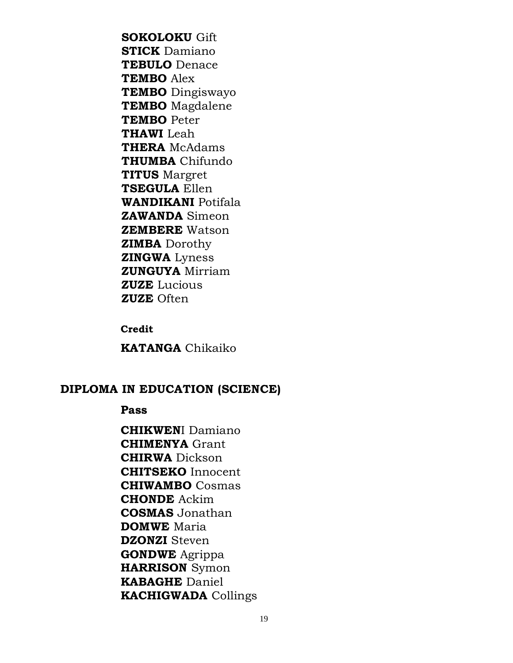**SOKOLOKU Gift STICK** Damiano **TEBULO** Denace **TEMBO** Alex **TEMBO** Dingiswayo **TEMBO** Magdalene **TEMBO** Peter **THAWI** Leah **THERA** McAdams **THUMBA** Chifundo **TITUS** Margret **TSEGULA Ellen WANDIKANI Potifala ZAWANDA** Simeon **ZEMBERE** Watson **ZIMBA** Dorothy **ZINGWA** Lyness **ZUNGUYA** Mirriam **ZUZE** Lucious **ZUZE** Often

Credit

**KATANGA Chikaiko** 

## DIPLOMA IN EDUCATION (SCIENCE)

#### **Pass**

**CHIKWEN**I Damiano **CHIMENYA** Grant **CHIRWA** Dickson **CHITSEKO** Innocent **CHIWAMBO** Cosmas **CHONDE** Ackim **COSMAS** Jonathan **DOMWE** Maria **DZONZI** Steven **GONDWE** Agrippa **HARRISON** Symon **KABAGHE Daniel KACHIGWADA** Collings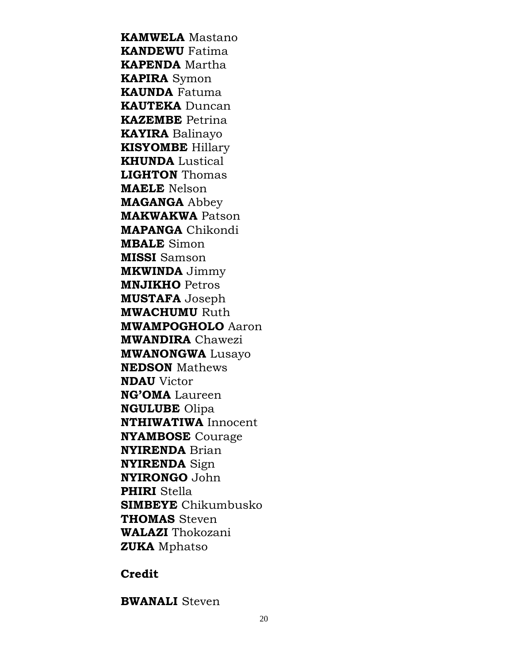**KAMWELA** Mastano **KANDEWU** Fatima **KAPENDA** Martha **KAPIRA** Symon **KAUNDA** Fatuma **KAUTEKA** Duncan **KAZEMBE** Petrina **KAYIRA** Balinayo **KISYOMBE** Hillary **KHUNDA** Lustical **LIGHTON** Thomas **MAELE** Nelson **MAGANGA** Abbey **MAKWAKWA** Patson **MAPANGA** Chikondi **MBALE** Simon **MISSI** Samson **MKWINDA** Jimmy **MNJIKHO** Petros **MUSTAFA** Joseph **MWACHUMU** Ruth **MWAMPOGHOLO** Aaron **MWANDIRA** Chawezi **MWANONGWA** Lusayo **NEDSON** Mathews **NDAU** Victor **NG'OMA** Laureen **NGULUBE** Olipa **NTHIWATIWA** Innocent **NYAMBOSE** Courage **NYIRENDA** Brian **NYIRENDA** Sign **NYIRONGO** John **PHIRI** Stella **SIMBEYE** Chikumbusko **THOMAS** Steven **WALAZI** Thokozani **ZUKA** Mphatso

**Credit** 

**BWANALI** Steven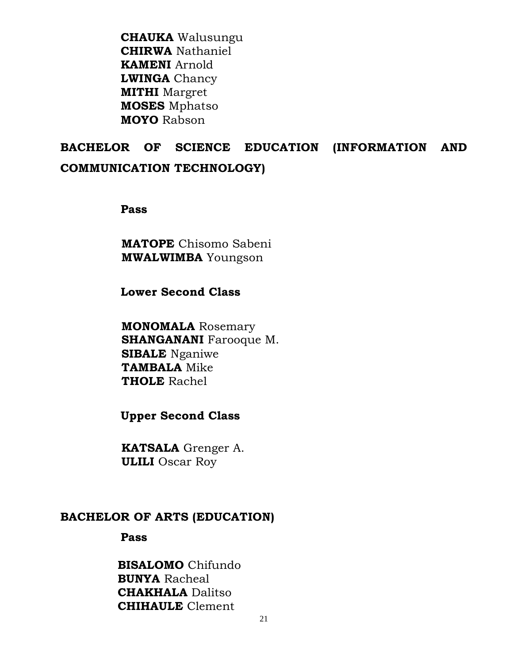**CHAUKA** Walusungu **CHIRWA** Nathaniel **KAMENI** Arnold **LWINGA** Chancy **MITHI** Margret **MOSES** Mphatso **MOYO** Rabson

# **BACHELOR OF SCIENCE EDUCATION (INFORMATION AND COMMUNICATION TECHNOLOGY)**

**Pass**

**MATOPE** Chisomo Sabeni **MWALWIMBA** Youngson

**Lower Second Class**

**MONOMALA** Rosemary **SHANGANANI** Farooque M. **SIBALE** Nganiwe **TAMBALA** Mike **THOLE** Rachel

**Upper Second Class**

**KATSALA** Grenger A. **ULILI** Oscar Roy

### **BACHELOR OF ARTS (EDUCATION)**

 **Pass**

**BISALOMO** Chifundo **BUNYA** Racheal **CHAKHALA** Dalitso **CHIHAULE** Clement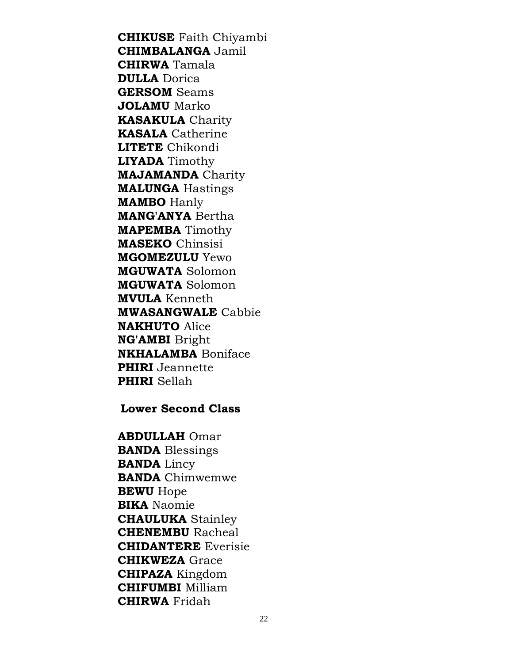**CHIKUSE** Faith Chiyambi **CHIMBALANGA** Jamil **CHIRWA** Tamala **DULLA** Dorica **GERSOM** Seams **JOLAMU** Marko **KASAKULA Charity KASALA** Catherine **LITETE** Chikondi **LIYADA** Timothy **MAJAMANDA** Charity **MALUNGA Hastings MAMBO** Hanly **MANG'ANYA Bertha MAPEMBA** Timothy **MASEKO** Chinsisi **MGOMEZULU Yewo MGUWATA** Solomon **MGUWATA** Solomon **MVULA** Kenneth **MWASANGWALE** Cabbie **NAKHUTO** Alice **NG'AMBI** Bright **NKHALAMBA** Boniface **PHIRI** Jeannette **PHIRI** Sellah

**Lower Second Class** 

**ABDULLAH** Omar **BANDA** Blessings **BANDA** Lincy **BANDA** Chimwemwe **BEWU** Hope **BIKA** Naomie **CHAULUKA** Stainley **CHENEMBU** Racheal **CHIDANTERE** Everisie **CHIKWEZA** Grace **CHIPAZA** Kingdom **CHIFUMBI** Milliam **CHIRWA** Fridah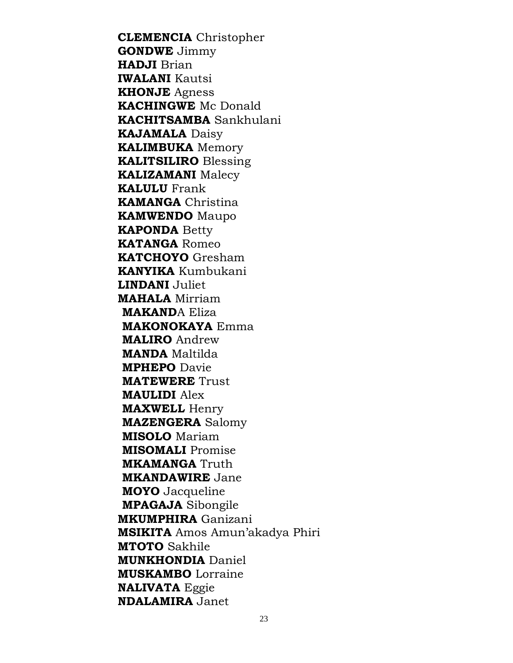**CLEMENCIA** Christopher **GONDWE** Jimmy **HADJI** Brian **IWALANI** Kautsi **KHONJE** Agness **KACHINGWE** Mc Donald **KACHITSAMBA** Sankhulani **KAJAMALA** Daisy **KALIMBUKA** Memory **KALITSILIRO** Blessing **KALIZAMANI** Malecy **KALULU** Frank **KAMANGA** Christina **KAMWENDO** Maupo **KAPONDA** Betty **KATANGA** Romeo **KATCHOYO** Gresham **KANYIKA** Kumbukani **LINDANI** Juliet **MAHALA** Mirriam **MAKAND**A Eliza **MAKONOKAYA** Emma **MALIRO** Andrew **MANDA** Maltilda **MPHEPO** Davie **MATEWERE** Trust **MAULIDI** Alex **MAXWELL** Henry **MAZENGERA** Salomy **MISOLO** Mariam **MISOMALI** Promise **MKAMANGA** Truth **MKANDAWIRE** Jane **MOYO** Jacqueline **MPAGAJA** Sibongile **MKUMPHIRA** Ganizani **MSIKITA** Amos Amun'akadya Phiri **MTOTO** Sakhile **MUNKHONDIA** Daniel **MUSKAMBO** Lorraine **NALIVATA** Eggie **NDALAMIRA** Janet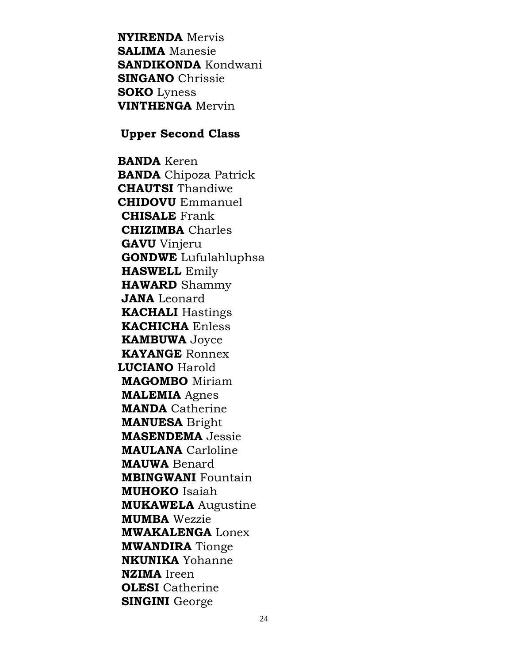**NYIRENDA** Mervis **SALIMA** Manesie **SANDIKONDA Kondwani SINGANO** Chrissie **SOKO** Lyness **VINTHENGA** Mervin

**Upper Second Class** 

**BANDA** Keren **BANDA** Chipoza Patrick **CHAUTSI** Thandiwe **CHIDOVU** Emmanuel **CHISALE** Frank **CHIZIMBA** Charles **GAVU** Vinjeru **GONDWE** Lufulahluphsa **HASWELL Emily HAWARD** Shammy **JANA** Leonard **KACHALI** Hastings **KACHICHA** Enless **KAMBUWA** Joyce **KAYANGE Ronnex LUCIANO Harold MAGOMBO** Miriam **MALEMIA** Agnes **MANDA** Catherine **MANUESA Bright MASENDEMA** Jessie **MAULANA** Carloline **MAUWA** Benard **MBINGWANI** Fountain **MUHOKO** Isaiah **MUKAWELA** Augustine **MUMBA** Wezzie **MWAKALENGA Lonex MWANDIRA** Tionge **NKUNIKA** Yohanne **NZIMA** Ireen **OLESI** Catherine **SINGINI** George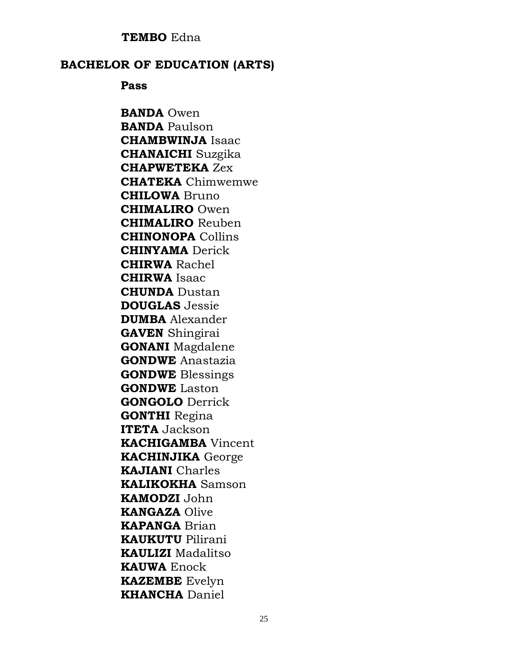### **TEMBO** Edna

### **BACHELOR OF EDUCATION (ARTS)**

**Pass**

**BANDA** Owen **BANDA** Paulson **CHAMBWINJA** Isaac **CHANAICHI** Suzgika **CHAPWETEKA** Zex **CHATEKA** Chimwemwe **CHILOWA** Bruno **CHIMALIRO** Owen **CHIMALIRO** Reuben **CHINONOPA** Collins **CHINYAMA** Derick **CHIRWA** Rachel **CHIRWA** Isaac **CHUNDA** Dustan **DOUGLAS** Jessie **DUMBA** Alexander **GAVEN** Shingirai **GONANI** Magdalene **GONDWE** Anastazia **GONDWE** Blessings **GONDWE** Laston **GONGOLO** Derrick **GONTHI** Regina **ITETA** Jackson **KACHIGAMBA** Vincent **KACHINJIKA** George **KAJIANI** Charles **KALIKOKHA** Samson **KAMODZI** John **KANGAZA** Olive **KAPANGA** Brian **KAUKUTU** Pilirani **KAULIZI** Madalitso **KAUWA** Enock **KAZEMBE** Evelyn **KHANCHA** Daniel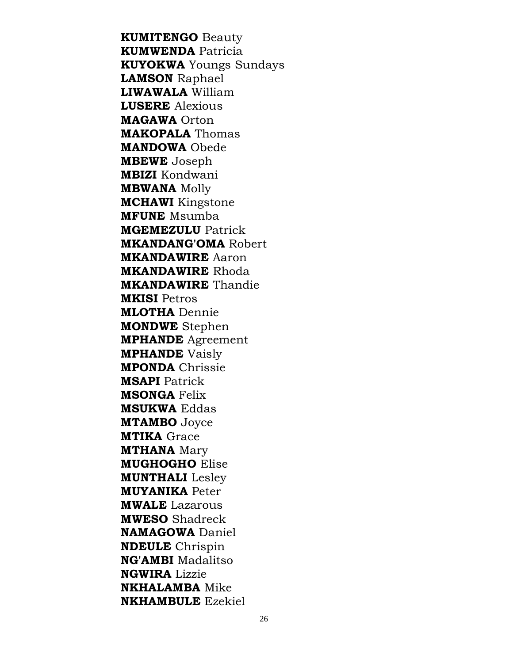**KUMITENGO** Beauty **KUMWENDA** Patricia **KUYOKWA** Youngs Sundays **LAMSON** Raphael **LIWAWALA** William **LUSERE** Alexious **MAGAWA** Orton **MAKOPALA** Thomas **MANDOWA** Obede **MBEWE** Joseph **MBIZI** Kondwani **MBWANA** Molly **MCHAWI** Kingstone **MFUNE** Msumba **MGEMEZULU** Patrick **MKANDANG'OMA** Robert **MKANDAWIRE** Aaron **MKANDAWIRE** Rhoda **MKANDAWIRE** Thandie **MKISI** Petros **MLOTHA** Dennie **MONDWE** Stephen **MPHANDE** Agreement **MPHANDE** Vaisly **MPONDA** Chrissie **MSAPI** Patrick **MSONGA** Felix **MSUKWA** Eddas **MTAMBO** Joyce **MTIKA** Grace **MTHANA** Mary **MUGHOGHO** Elise **MUNTHALI** Lesley **MUYANIKA** Peter **MWALE** Lazarous **MWESO** Shadreck **NAMAGOWA** Daniel **NDEULE** Chrispin **NG'AMBI** Madalitso **NGWIRA** Lizzie **NKHALAMBA** Mike **NKHAMBULE** Ezekiel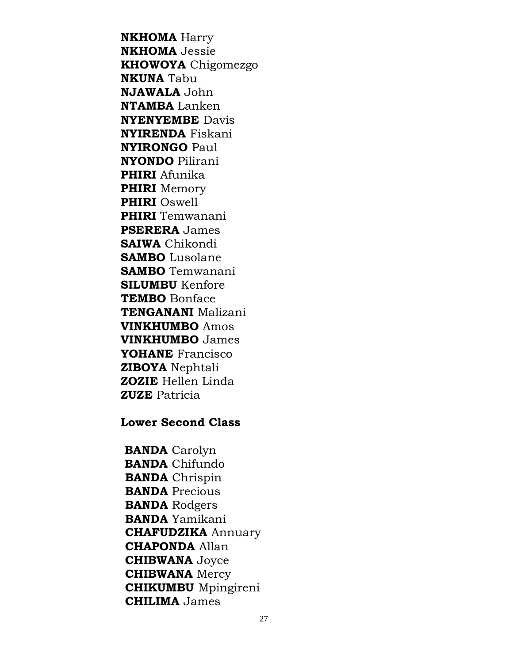**NKHOMA** Harry **NKHOMA** Jessie **KHOWOYA** Chigomezgo **NKUNA** Tabu **NJAWALA** John **NTAMBA** Lanken **NYENYEMBE** Davis **NYIRENDA** Fiskani **NYIRONGO** Paul **NYONDO** Pilirani **PHIRI** Afunika **PHIRI** Memory **PHIRI** Oswell **PHIRI** Temwanani **PSERERA** James **SAIWA** Chikondi **SAMBO** Lusolane **SAMBO** Temwanani **SILUMBU** Kenfore **TEMBO** Bonface **TENGANANI** Malizani **VINKHUMBO** Amos **VINKHUMBO** James **YOHANE** Francisco **ZIBOYA** Nephtali **ZOZIE** Hellen Linda **ZUZE** Patricia

### **Lower Second Class**

**BANDA** Carolyn **BANDA** Chifundo **BANDA** Chrispin **BANDA** Precious **BANDA** Rodgers **BANDA** Yamikani **CHAFUDZIKA** Annuary **CHAPONDA** Allan **CHIBWANA** Joyce **CHIBWANA** Mercy **CHIKUMBU** Mpingireni **CHILIMA** James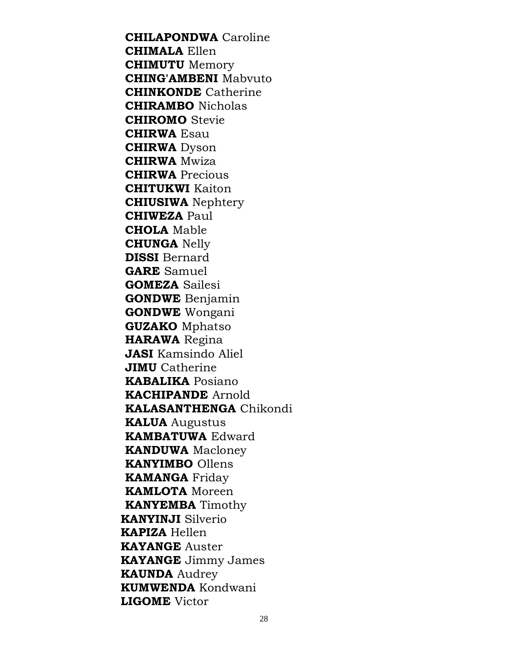**CHILAPONDWA** Caroline **CHIMALA** Ellen **CHIMUTU** Memory **CHING'AMBENI** Mabvuto **CHINKONDE** Catherine **CHIRAMBO** Nicholas **CHIROMO** Stevie **CHIRWA Esau CHIRWA** Dyson **CHIRWA** Mwiza **CHIRWA** Precious **CHITUKWI** Kaiton **CHIUSIWA** Nephtery **CHIWEZA Paul CHOLA** Mable **CHUNGA Nelly DISSI** Bernard **GARE** Samuel **GOMEZA** Sailesi **GONDWE** Benjamin **GONDWE** Wongani **GUZAKO** Mphatso HARAWA Regina **JASI** Kamsindo Aliel **JIMU** Catherine **KABALIKA** Posiano **KACHIPANDE** Arnold KALASANTHENGA Chikondi **KALUA** Augustus **KAMBATUWA Edward KANDUWA** Macloney **KANYIMBO** Ollens **KAMANGA** Friday **KAMLOTA** Moreen **KANYEMBA** Timothy **KANYINJI** Silverio **KAPIZA Hellen KAYANGE** Auster **KAYANGE** Jimmy James **KAUNDA** Audrey **KUMWENDA Kondwani LIGOME** Victor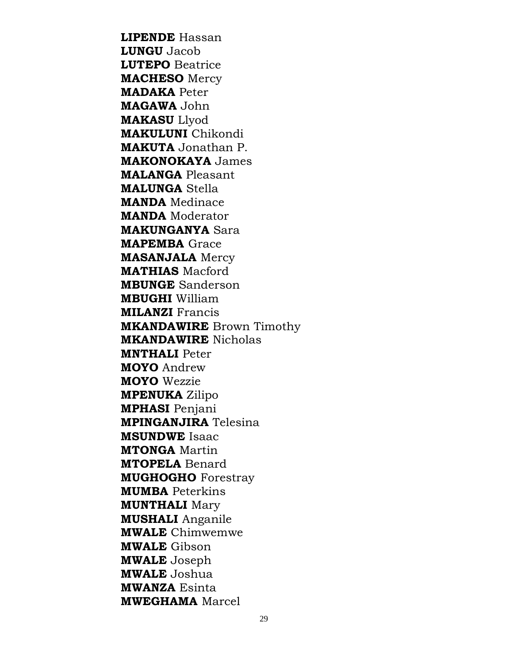**LIPENDE** Hassan **LUNGU** Jacob **LUTEPO** Beatrice **MACHESO** Mercy **MADAKA** Peter **MAGAWA** John **MAKASU** Llyod **MAKULUNI** Chikondi **MAKUTA** Jonathan P. **MAKONOKAYA** James **MALANGA** Pleasant **MALUNGA** Stella **MANDA** Medinace **MANDA** Moderator **MAKUNGANYA** Sara **MAPEMBA** Grace **MASANJALA** Mercy **MATHIAS** Macford **MBUNGE** Sanderson **MBUGHI** William **MILANZI** Francis **MKANDAWIRE** Brown Timothy **MKANDAWIRE** Nicholas **MNTHALI** Peter **MOYO** Andrew **MOYO** Wezzie **MPENUKA** Zilipo **MPHASI** Penjani **MPINGANJIRA** Telesina **MSUNDWE** Isaac **MTONGA** Martin **MTOPELA** Benard **MUGHOGHO** Forestray **MUMBA** Peterkins **MUNTHALI** Mary **MUSHALI** Anganile **MWALE** Chimwemwe **MWALE** Gibson **MWALE** Joseph **MWALE** Joshua **MWANZA** Esinta **MWEGHAMA** Marcel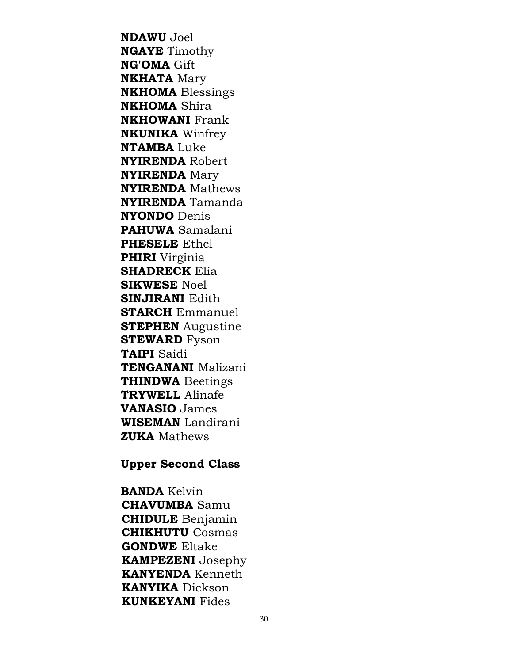**NDAWU** Joel **NGAYE** Timothy **NG'OMA** Gift **NKHATA** Mary **NKHOMA** Blessings **NKHOMA** Shira **NKHOWANI** Frank **NKUNIKA** Winfrey **NTAMBA** Luke **NYIRENDA** Robert **NYIRENDA** Mary **NYIRENDA** Mathews **NYIRENDA** Tamanda **NYONDO** Denis **PAHUWA** Samalani **PHESELE** Ethel **PHIRI** Virginia **SHADRECK** Elia **SIKWESE** Noel **SINJIRANI** Edith **STARCH** Emmanuel **STEPHEN** Augustine **STEWARD** Fyson **TAIPI** Saidi **TENGANANI** Malizani **THINDWA** Beetings **TRYWELL** Alinafe **VANASIO** James **WISEMAN** Landirani **ZUKA** Mathews

**Upper Second Class**

**BANDA** Kelvin **CHAVUMBA** Samu **CHIDULE** Benjamin **CHIKHUTU** Cosmas **GONDWE** Eltake **KAMPEZENI** Josephy **KANYENDA** Kenneth **KANYIKA** Dickson **KUNKEYANI** Fides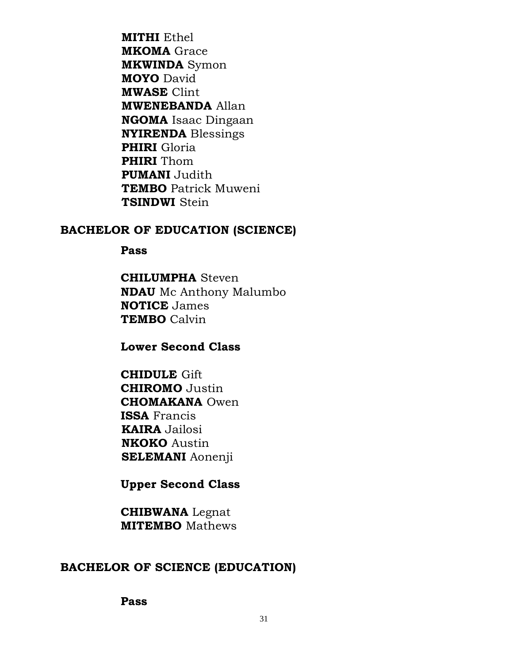**MITHI** Ethel **MKOMA** Grace **MKWINDA** Symon **MOYO** David **MWASE** Clint **MWENEBANDA** Allan **NGOMA** Isaac Dingaan **NYIRENDA** Blessings **PHIRI** Gloria **PHIRI** Thom **PUMANI** Judith **TEMBO** Patrick Muweni **TSINDWI** Stein

### **BACHELOR OF EDUCATION (SCIENCE)**

**Pass**

**CHILUMPHA** Steven **NDAU** Mc Anthony Malumbo **NOTICE** James **TEMBO** Calvin

**Lower Second Class**

**CHIDULE** Gift **CHIROMO** Justin **CHOMAKANA** Owen **ISSA** Francis **KAIRA** Jailosi **NKOKO** Austin **SELEMANI** Aonenji

**Upper Second Class**

**CHIBWANA** Legnat **MITEMBO** Mathews

## **BACHELOR OF SCIENCE (EDUCATION)**

**Pass**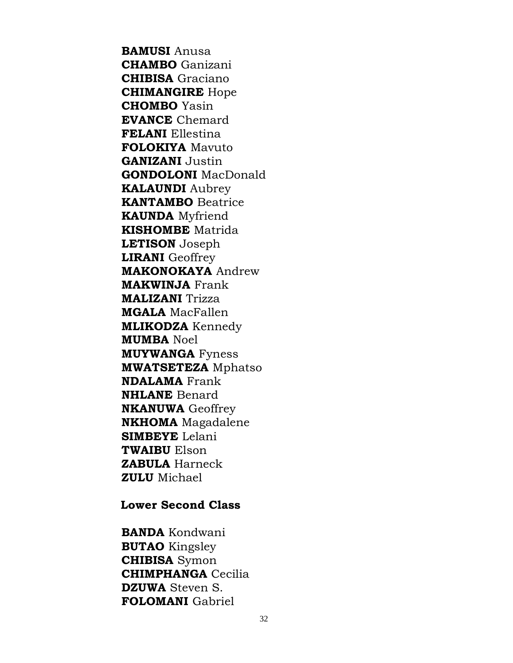**BAMUSI Anusa CHAMBO** Ganizani **CHIBISA** Graciano **CHIMANGIRE Hope CHOMBO** Yasin **EVANCE** Chemard **FELANI** Ellestina **FOLOKIYA Mayuto GANIZANI** Justin **GONDOLONI** MacDonald **KALAUNDI** Aubrey **KANTAMBO** Beatrice **KAUNDA** Myfriend **KISHOMBE** Matrida **LETISON** Joseph **LIRANI** Geoffrey **MAKONOKAYA Andrew MAKWINJA** Frank **MALIZANI** Trizza **MGALA** MacFallen **MLIKODZA** Kennedy **MUMBA** Noel **MUYWANGA Fyness MWATSETEZA** Mphatso **NDALAMA** Frank **NHLANE** Benard **NKANUWA** Geoffrey **NKHOMA** Magadalene **SIMBEYE** Lelani **TWAIBU Elson ZABULA Harneck ZULU** Michael

#### **Lower Second Class**

**BANDA** Kondwani **BUTAO** Kingsley **CHIBISA** Symon **CHIMPHANGA** Cecilia **DZUWA** Steven S. **FOLOMANI** Gabriel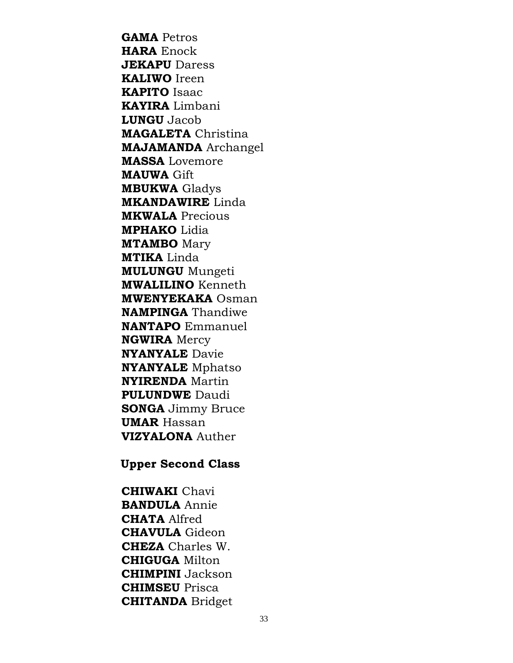**GAMA** Petros **HARA** Enock **JEKAPU** Daress **KALIWO** Ireen **KAPITO** Isaac **KAYIRA** Limbani **LUNGU** Jacob **MAGALETA** Christina **MAJAMANDA** Archangel **MASSA** Lovemore **MAUWA** Gift **MBUKWA** Gladys **MKANDAWIRE** Linda **MKWALA** Precious **MPHAKO** Lidia **MTAMBO** Mary **MTIKA** Linda **MULUNGU** Mungeti **MWALILINO** Kenneth **MWENYEKAKA** Osman **NAMPINGA** Thandiwe **NANTAPO** Emmanuel **NGWIRA** Mercy **NYANYALE** Davie **NYANYALE** Mphatso **NYIRENDA** Martin **PULUNDWE** Daudi **SONGA** Jimmy Bruce **UMAR** Hassan **VIZYALONA** Auther

 **Upper Second Class**

**CHIWAKI** Chavi **BANDULA** Annie **CHATA** Alfred **CHAVULA** Gideon **CHEZA** Charles W. **CHIGUGA** Milton **CHIMPINI** Jackson **CHIMSEU** Prisca **CHITANDA** Bridget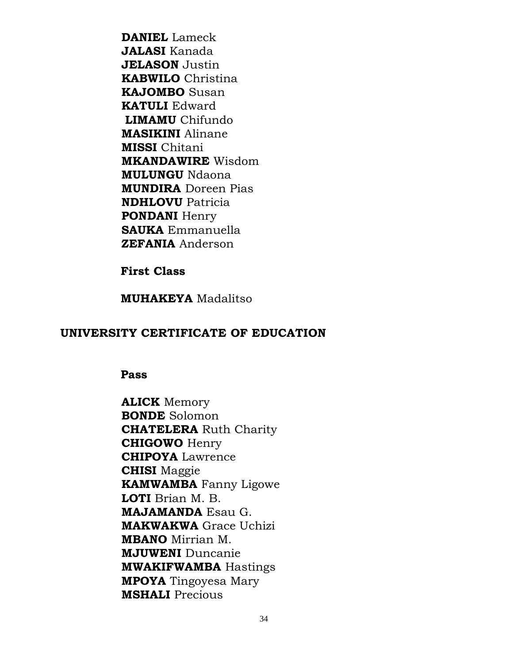**DANIEL** Lameck **JALASI** Kanada **JELASON** Justin **KABWILO** Christina **KAJOMBO** Susan **KATULI** Edward **LIMAMU** Chifundo **MASIKINI** Alinane **MISSI** Chitani **MKANDAWIRE** Wisdom **MULUNGU** Ndaona **MUNDIRA** Doreen Pias **NDHLOVU** Patricia **PONDANI** Henry **SAUKA** Emmanuella **ZEFANIA** Anderson

### **First Class**

**MUHAKEYA** Madalitso

### **UNIVERSITY CERTIFICATE OF EDUCATION**

**Pass** 

**ALICK** Memory **BONDE** Solomon **CHATELERA** Ruth Charity **CHIGOWO** Henry **CHIPOYA** Lawrence **CHISI** Maggie **KAMWAMBA** Fanny Ligowe **LOTI** Brian M. B. **MAJAMANDA** Esau G. **MAKWAKWA** Grace Uchizi **MBANO** Mirrian M. **MJUWENI** Duncanie **MWAKIFWAMBA** Hastings **MPOYA** Tingoyesa Mary **MSHALI** Precious